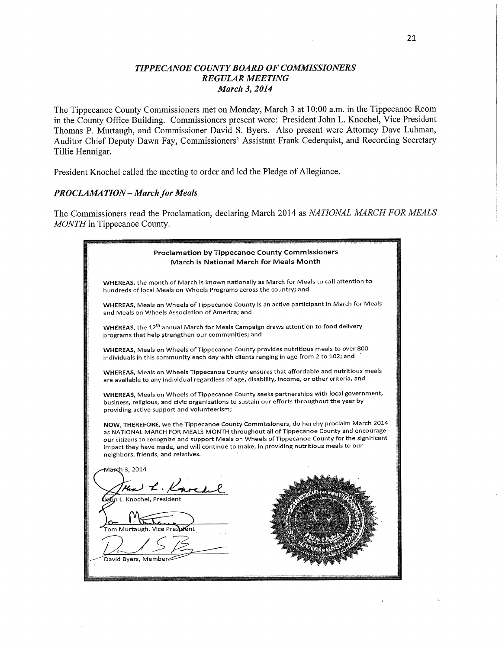### *TIPPE CANOE COUNTY BOARD* **OF** *COMMISSIONERS REGULAR MEETING March* **3,** *2014*

**The** Tippecanoe County Commissioners **met on** Monday, March 3 **at** 10:00 **am. in the** Tippecanoe Room **in the** County Office Building. Commissioners present were: President John **L.** Knochel, **Vice** President Thomas **P.** Murtaugh, **and** Commissioner **David S.** Byers. Also present were Attorney Dave Luhman, Auditor Chief Deputy Dawn Fay, Commissioners' **Assistant Frank** Cederquist, **and** Recording Secretary Tillie Hennigar.

President Knochel called **the** meeting **to** order **and led the** Pledge **of** Allegiancé.

#### *PROCLAMA TION— March* **for** *Meals*

**The** Commissioners read **the** Proclamation, declaring March 2014 **as** *NATIONAL MARCH* **FOR** *MEALS MONTH* **in** Tippecanoe County.

| Proclamation by Tippecanoe County Commissioners<br>March is National March for Meals Month                                                                                                                                                                                                                                                                                                                     |
|----------------------------------------------------------------------------------------------------------------------------------------------------------------------------------------------------------------------------------------------------------------------------------------------------------------------------------------------------------------------------------------------------------------|
| WHEREAS, the month of March is known nationally as March for Meals to call attention to<br>hundreds of local Meals on Wheels Programs across the country; and                                                                                                                                                                                                                                                  |
| WHEREAS, Meals on Wheels of Tippecanoe County is an active participant in March for Meals<br>and Meals on Wheels Association of America; and                                                                                                                                                                                                                                                                   |
| WHEREAS, the 12 <sup>th</sup> annual March for Meals Campaign draws attention to food delivery<br>programs that help strengthen our communities; and                                                                                                                                                                                                                                                           |
| WHEREAS, Meals on Wheels of Tippecanoe County provides nutritious meals to over 800<br>individuals in this community each day with clients ranging in age from 2 to 102; and                                                                                                                                                                                                                                   |
| WHEREAS, Meals on Wheels Tippecanoe County ensures that affordable and nutritious meals<br>are available to any individual regardless of age, disability, income, or other criteria, and                                                                                                                                                                                                                       |
| WHEREAS, Meals on Wheels of Tippecanoe County seeks partnerships with local government,<br>business, religious, and civic organizations to sustain our efforts throughout the year by<br>providing active support and volunteerism;                                                                                                                                                                            |
| NOW, THEREFORE, we the Tippecanoe County Commissioners, do hereby proclaim March 2014<br>as NATIONAL MARCH FOR MEALS MONTH throughout all of Tippecanoe County and encourage<br>our citizens to recognize and support Meals on Wheels of Tippecanoe County for the significant<br>impact they have made, and will continue to make, in providing nutritious meals to our<br>neighbors, friends, and relatives. |
| March 3, 2014<br>Un L. Know<br>ຸ<br>ກ L. Knochel, President<br>Tom Murtaugh, Vice President<br>David Byers, Member.                                                                                                                                                                                                                                                                                            |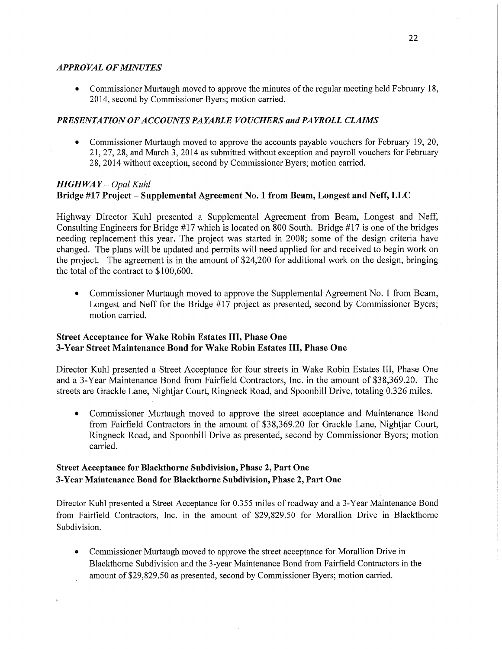#### *APPROVAL* OF *MINUTES*

**0** Commissioner Murtaugh moved to approve the minutes of the regular meeting held February 18, 2014, second by Commissioner Byers; motion carried.

### *PRESENTATION* OF *ACCOUNTS PAYABLE VOUCHERS* and PA YR OLL *CLAIMS*

• Commissioner Murtaugh moved to approve the accounts payable vouchers for February 19, 20, 21, 27, 28, and March 3, 2014 as submitted without exception and payroll vouchers for February 28, 2014 without exception, second by Commissioner Byers; motion carried.

## *HIGHWAY* - *Opal Kuhl* **Bridge** #17 **Project** — **Supplemental Agreement** No. **1** from **Beam,** Longest and **Neff,** LLC

Highway Director Kuhl presented a Supplemental Agreement from Beam, Longest and Neff, Consulting Engineers for Bridge #17 which is located on 800 South. Bridge #17 is one of the bridges needing replacement this year. The project was started in 2008; some of the design criteria have changed. The plans will be updated and permits will need applied for and received to begin work on the project. The agreement is in the amount of \$24,200 for additional work on the design, bringing the total of the contract to \$100,600.

**0** Commissioner Murtaugh moved to approve the Supplemental Agreement No. 1 from Beam, Longest and Neff for the Bridge #17 project as presented, second by Commissioner Byers; motion carried.

## **Street** Acceptance for **Wake** Robin **Estates** III, **Phase** One 3-Year **Street** Maintenance **Bond** for **Wake** Robin **Estates III, Phase** One

Director Kuhl presented a Street Acceptance for **four** streets in Wake Robin Estates **III,** Phase One and a 3-Year Maintenance Bond from Fairfield Contractors, Inc. in the amount of \$38,369.20. The streets are Grackle Lane, Nightjar Court, Ringneck Road, and Spoonbill Drive, totaling 0.326 miles.

**0** Commissioner Murtaugh moved to approve the street acceptance and Maintenance Bond from Fairfield Contractors in the amount of \$38,369.20 for Grackle Lane, Nightjar Court, Ringneck Road, and Spoonbill Drive as presented, second by Commissioner Byers; motion carried.

# **Street Acceptance** for **Blackthorne** Subdivision, **Phase** 2, **Part** One **3-Year Maintenance** Bond for **Blackthorne** Subdivision, **Phase** 2, **Part** One

Director Kuhl presented a Street Acceptance for 0.355 miles of roadway and a 3-Year Maintenance Bond from Fairfield Contractors, Inc. in the amount of \$29,829.50 for Morallion Drive in Blackthorne Subdivision.

**0** Commissioner Murtaugh moved to approve the street acceptance for Morallion Drive in Blackthome Subdivision and the 3-year Maintenance Bond from Fairfield Contractors in the amount of \$29,829.50 as presented, second by Commissioner Byers; motion carried.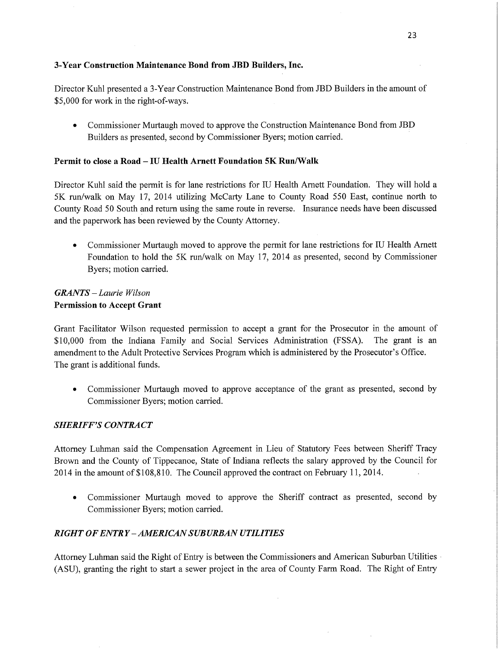## **3-Year** Construction **Maintenance Bond from** JBD Builders, **Inc.**

Director Kuhl presented a 3-Year Construction Maintenance Bond from JBD Builders in the amount of \$5,000 for work in the right-of-ways.

**0** Commissioner Murtaugh moved to approve the Construction Maintenance Bond from IBD Builders as presented, second by Commissioner Byers; motion carried.

#### **Permit** to **close a Road —** IU **Health Arnett Foundation** 5K **Run/Walk**

Director Kuhl said the permit is for lane restrictions for IU Health Amett Foundation. They will hold <sup>a</sup> 5K run/walk on May 17, 2014 utilizing McCarty Lane to County Road 550 East, continue north to County Road 50 South and return using the same route in reverse. Insurance needs have been discussed and the paperwork has been reviewed by the County Attorney.

**0** Commissioner Murtaugh moved to approve the permit for lane restrictions for IU Health Arnett Foundation to hold the 5K run/walk on May 17, 2014 as presented, second by Commissioner Byers; motion carried.

# *GRANTS* — *Laurie Wilson*  **Permission** to **Accept Grant**

Grant Facilitator Wilson requested permission to accept a grant for the Prosecutor in the amount of \$10,000 from the Indiana Family and Social Services Administration (FSSA). The grant is an amendment to the Adult Protective Services Program which is administered by the Prosecutor's Office. The grant is additional funds.

**0** Commissioner Murtaugh moved to approve acceptance of the grant as presented, second by Commissioner Byers; motion carried.

#### *SHERIFF'S CONTRACT*

Attorney Luhman said the Compensation Agreement in Lieu of Statutory Fees between Sheriff Tracy Brown and the County of Tippecanoe, State of Indiana reflects the salary approved by the Council for 2014 in the amount of \$108,810. The Council approved the contract on February 11, 2014.

**0** Commissioner Murtaugh moved to approve the Sheriff contract as presented, second by Commissioner Byers; motion carried.

## *RIGHT OFENTRY—AMERICANSUBURBAN UTILITIES*

Attorney Luhman said the Right of Entry is between the Commissioners and American Suburban Utilities *~* (ASU), granting the right to start **a** sewer project in the area of County Farm Road. The Right of Entry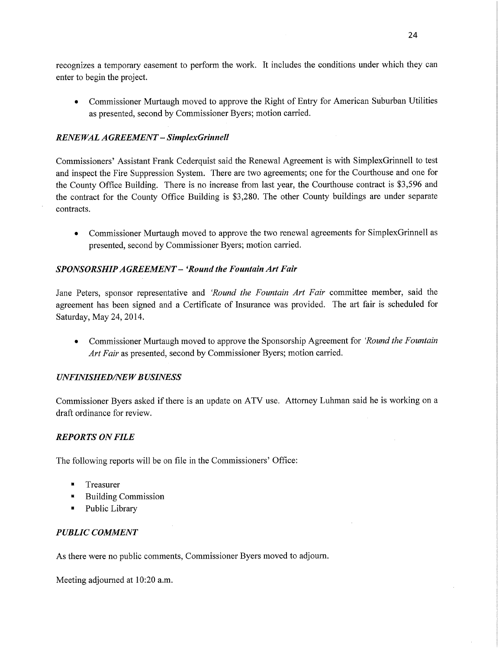recognizes a temporary easement to perform the work. It includes the conditions under which they can enter to begin the project.

*0* Commissioner Murtaugh moved to approve the Right of Entry for American Suburban Utilities as presented, second by Commissioner Byers; **motion** carried.

# *RENEWAL A GREEMEN T* — *SimplexGrinnell*

Commissioners' Assistant **Frank** Cederquist said the Renewal Agreement is with SimplexGrinnell to test and inspect the Fire Suppression System. There are two agreements; one for the Courthouse and one for the County Office Building. There is no increase from last year, the Courthouse contract is \$3,596 and the contract for the County Office Building is \$3,280. The other County buildings are under separate contracts.

*0* Commissioner Murtaugh moved to approve the two renewal agreements for SimplexGrinnell as presented, second by Commissioner Byers; motion carried.

# *SPONSORSHIPAGREEMENT* **—** *'Round* the *Fountain* Art *Fair*

Jane Peters, sponsor representative and *'Round* the *Fountain* Art *Fair* committee **member, said** the agreement has been signed and a Certificate of Insurance was provided. The art fair is scheduled for Saturday, May 24, 2014.

**0 Commissioner Murtaugh moved** to approve the Sponsorship Agreement for *'Round* the *Fountain*  Art *Fair* as presented, second by Commissioner Byers; motion carried.

## *UNFINISHED/NEW BUSINESS*

**Commissioner** Byers asked if there is an update on ATV use. Attorney **Luhman** said he is working on <sup>a</sup> **draft ordinance** for **review.** 

## *REPORTS* ON *FILE*

The following reports will be on file in the Commissioners' **Office:** 

- **I** Treasurer
- . Building Commission
- Public Library

# *PUBLIC COMMENT*

As there were no public comments, Commissioner Byers moved to **adjourn.** 

Meeting adjourned at 10:20 **am.**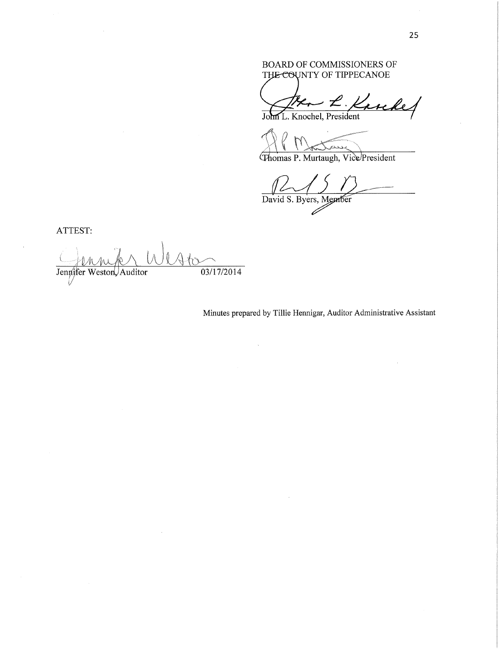## BOARD OF COMMISSIONERS OF THE COUNTY OF TIPPECANOE

- L. Karchel

JOML. Knochel, President

Thomas P. Murtaugh, Vice President

David S. Byers, Member

**ATTEST:** 

 $\big) \big\|$ Ate Jennifer Weston, Auditor 03/17/2014

Minutes prepared by Tillie Hennigar, Auditor Administrative Assistant